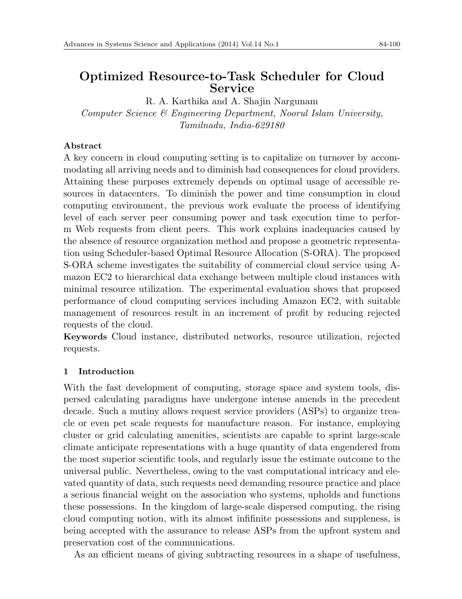# **Optimized Resource-to-Task Scheduler for Cloud Service**

R. A. Karthika and A. Shajin Nargunam *Computer Science & Engineering Department, Noorul Islam University, Tamilnadu, India-629180*

# **Abstract**

A key concern in cloud computing setting is to capitalize on turnover by accommodating all arriving needs and to diminish bad consequences for cloud providers. Attaining these purposes extremely depends on optimal usage of accessible resources in datacenters. To diminish the power and time consumption in cloud computing environment, the previous work evaluate the process of identifying level of each server peer consuming power and task execution time to perform Web requests from client peers. This work explains inadequacies caused by the absence of resource organization method and propose a geometric representation using Scheduler-based Optimal Resource Allocation (S-ORA). The proposed S-ORA scheme investigates the suitability of commercial cloud service using Amazon EC2 to hierarchical data exchange between multiple cloud instances with minimal resource utilization. The experimental evaluation shows that proposed performance of cloud computing services including Amazon EC2, with suitable management of resources result in an increment of profit by reducing rejected requests of the cloud.

**Keywords** Cloud instance, distributed networks, resource utilization, rejected requests.

# **1 Introduction**

With the fast development of computing, storage space and system tools, dispersed calculating paradigms have undergone intense amends in the precedent decade. Such a mutiny allows request service providers (ASPs) to organize treacle or even pet scale requests for manufacture reason. For instance, employing cluster or grid calculating amenities, scientists are capable to sprint large-scale climate anticipate representations with a huge quantity of data engendered from the most superior scientific tools, and regularly issue the estimate outcome to the universal public. Nevertheless, owing to the vast computational intricacy and elevated quantity of data, such requests need demanding resource practice and place a serious financial weight on the association who systems, upholds and functions these possessions. In the kingdom of large-scale dispersed computing, the rising cloud computing notion, with its almost infifinite possessions and suppleness, is being accepted with the assurance to release ASPs from the upfront system and preservation cost of the communications.

As an efficient means of giving subtracting resources in a shape of usefulness,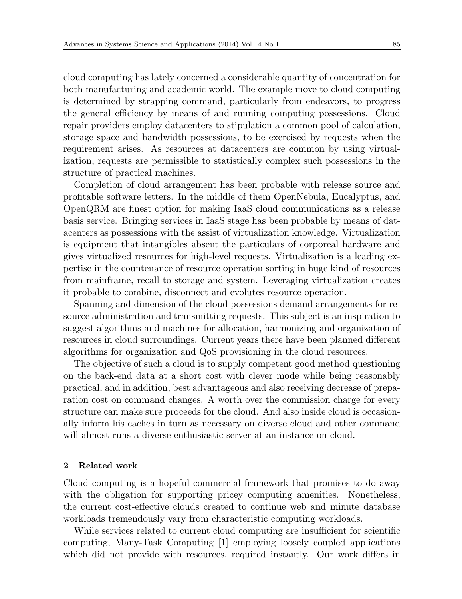cloud computing has lately concerned a considerable quantity of concentration for both manufacturing and academic world. The example move to cloud computing is determined by strapping command, particularly from endeavors, to progress the general efficiency by means of and running computing possessions. Cloud repair providers employ datacenters to stipulation a common pool of calculation, storage space and bandwidth possessions, to be exercised by requests when the requirement arises. As resources at datacenters are common by using virtualization, requests are permissible to statistically complex such possessions in the structure of practical machines.

Completion of cloud arrangement has been probable with release source and profitable software letters. In the middle of them OpenNebula, Eucalyptus, and OpenQRM are finest option for making IaaS cloud communications as a release basis service. Bringing services in IaaS stage has been probable by means of datacenters as possessions with the assist of virtualization knowledge. Virtualization is equipment that intangibles absent the particulars of corporeal hardware and gives virtualized resources for high-level requests. Virtualization is a leading expertise in the countenance of resource operation sorting in huge kind of resources from mainframe, recall to storage and system. Leveraging virtualization creates it probable to combine, disconnect and evolutes resource operation.

Spanning and dimension of the cloud possessions demand arrangements for resource administration and transmitting requests. This subject is an inspiration to suggest algorithms and machines for allocation, harmonizing and organization of resources in cloud surroundings. Current years there have been planned different algorithms for organization and QoS provisioning in the cloud resources.

The objective of such a cloud is to supply competent good method questioning on the back-end data at a short cost with clever mode while being reasonably practical, and in addition, best advantageous and also receiving decrease of preparation cost on command changes. A worth over the commission charge for every structure can make sure proceeds for the cloud. And also inside cloud is occasionally inform his caches in turn as necessary on diverse cloud and other command will almost runs a diverse enthusiastic server at an instance on cloud.

### **2 Related work**

Cloud computing is a hopeful commercial framework that promises to do away with the obligation for supporting pricey computing amenities. Nonetheless, the current cost-effective clouds created to continue web and minute database workloads tremendously vary from characteristic computing workloads.

While services related to current cloud computing are insufficient for scientific computing, Many-Task Computing [1] employing loosely coupled applications which did not provide with resources, required instantly. Our work differs in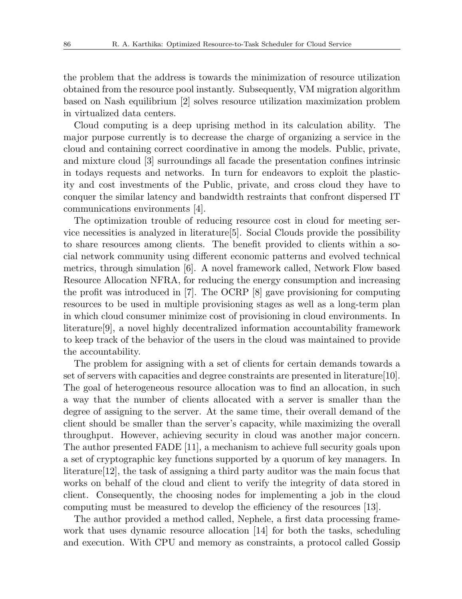the problem that the address is towards the minimization of resource utilization obtained from the resource pool instantly. Subsequently, VM migration algorithm based on Nash equilibrium [2] solves resource utilization maximization problem in virtualized data centers.

Cloud computing is a deep uprising method in its calculation ability. The major purpose currently is to decrease the charge of organizing a service in the cloud and containing correct coordinative in among the models. Public, private, and mixture cloud [3] surroundings all facade the presentation confines intrinsic in todays requests and networks. In turn for endeavors to exploit the plasticity and cost investments of the Public, private, and cross cloud they have to conquer the similar latency and bandwidth restraints that confront dispersed IT communications environments [4].

The optimization trouble of reducing resource cost in cloud for meeting service necessities is analyzed in literature[5]. Social Clouds provide the possibility to share resources among clients. The benefit provided to clients within a social network community using different economic patterns and evolved technical metrics, through simulation [6]. A novel framework called, Network Flow based Resource Allocation NFRA, for reducing the energy consumption and increasing the profit was introduced in [7]. The OCRP [8] gave provisioning for computing resources to be used in multiple provisioning stages as well as a long-term plan in which cloud consumer minimize cost of provisioning in cloud environments. In literature[9], a novel highly decentralized information accountability framework to keep track of the behavior of the users in the cloud was maintained to provide the accountability.

The problem for assigning with a set of clients for certain demands towards a set of servers with capacities and degree constraints are presented in literature[10]. The goal of heterogeneous resource allocation was to find an allocation, in such a way that the number of clients allocated with a server is smaller than the degree of assigning to the server. At the same time, their overall demand of the client should be smaller than the server's capacity, while maximizing the overall throughput. However, achieving security in cloud was another major concern. The author presented FADE [11], a mechanism to achieve full security goals upon a set of cryptographic key functions supported by a quorum of key managers. In literature[12], the task of assigning a third party auditor was the main focus that works on behalf of the cloud and client to verify the integrity of data stored in client. Consequently, the choosing nodes for implementing a job in the cloud computing must be measured to develop the efficiency of the resources [13].

The author provided a method called, Nephele, a first data processing framework that uses dynamic resource allocation [14] for both the tasks, scheduling and execution. With CPU and memory as constraints, a protocol called Gossip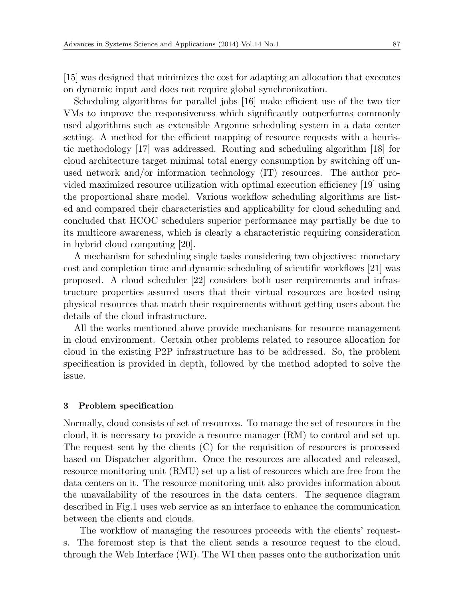[15] was designed that minimizes the cost for adapting an allocation that executes on dynamic input and does not require global synchronization.

Scheduling algorithms for parallel jobs [16] make efficient use of the two tier VMs to improve the responsiveness which significantly outperforms commonly used algorithms such as extensible Argonne scheduling system in a data center setting. A method for the efficient mapping of resource requests with a heuristic methodology [17] was addressed. Routing and scheduling algorithm [18] for cloud architecture target minimal total energy consumption by switching off unused network and/or information technology (IT) resources. The author provided maximized resource utilization with optimal execution efficiency [19] using the proportional share model. Various workflow scheduling algorithms are listed and compared their characteristics and applicability for cloud scheduling and concluded that HCOC schedulers superior performance may partially be due to its multicore awareness, which is clearly a characteristic requiring consideration in hybrid cloud computing [20].

A mechanism for scheduling single tasks considering two objectives: monetary cost and completion time and dynamic scheduling of scientific workflows [21] was proposed. A cloud scheduler [22] considers both user requirements and infrastructure properties assured users that their virtual resources are hosted using physical resources that match their requirements without getting users about the details of the cloud infrastructure.

All the works mentioned above provide mechanisms for resource management in cloud environment. Certain other problems related to resource allocation for cloud in the existing P2P infrastructure has to be addressed. So, the problem specification is provided in depth, followed by the method adopted to solve the issue.

### **3 Problem specification**

Normally, cloud consists of set of resources. To manage the set of resources in the cloud, it is necessary to provide a resource manager (RM) to control and set up. The request sent by the clients (C) for the requisition of resources is processed based on Dispatcher algorithm. Once the resources are allocated and released, resource monitoring unit (RMU) set up a list of resources which are free from the data centers on it. The resource monitoring unit also provides information about the unavailability of the resources in the data centers. The sequence diagram described in Fig.1 uses web service as an interface to enhance the communication between the clients and clouds.

The workflow of managing the resources proceeds with the clients' requests. The foremost step is that the client sends a resource request to the cloud, through the Web Interface (WI). The WI then passes onto the authorization unit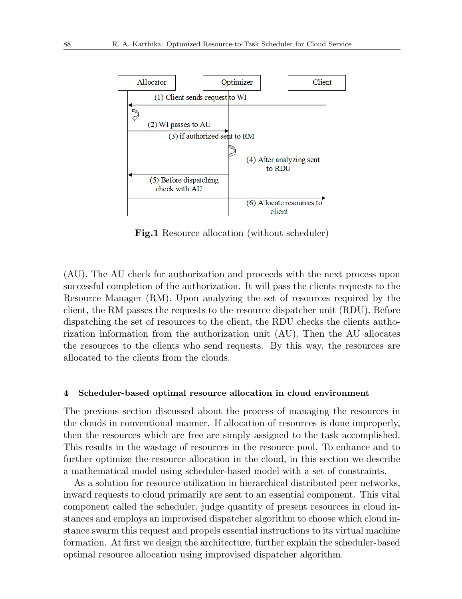

**Fig.1** Resource allocation (without scheduler)

(AU). The AU check for authorization and proceeds with the next process upon successful completion of the authorization. It will pass the clients requests to the Resource Manager (RM). Upon analyzing the set of resources required by the client, the RM passes the requests to the resource dispatcher unit (RDU). Before dispatching the set of resources to the client, the RDU checks the clients authorization information from the authorization unit (AU). Then the AU allocates the resources to the clients who send requests. By this way, the resources are allocated to the clients from the clouds.

#### **4 Scheduler-based optimal resource allocation in cloud environment**

The previous section discussed about the process of managing the resources in the clouds in conventional manner. If allocation of resources is done improperly, then the resources which are free are simply assigned to the task accomplished. This results in the wastage of resources in the resource pool. To enhance and to further optimize the resource allocation in the cloud, in this section we describe a mathematical model using scheduler-based model with a set of constraints.

As a solution for resource utilization in hierarchical distributed peer networks, inward requests to cloud primarily are sent to an essential component. This vital component called the scheduler, judge quantity of present resources in cloud instances and employs an improvised dispatcher algorithm to choose which cloud instance swarm this request and propels essential instructions to its virtual machine formation. At first we design the architecture, further explain the scheduler-based optimal resource allocation using improvised dispatcher algorithm.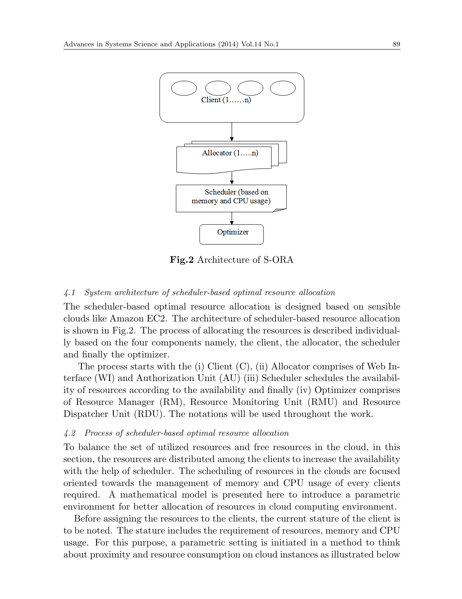

**Fig.2** Architecture of S-ORA

# *4.1 System architecture of scheduler-based optimal resource allocation*

The scheduler-based optimal resource allocation is designed based on sensible clouds like Amazon EC2. The architecture of scheduler-based resource allocation is shown in Fig.2. The process of allocating the resources is described individually based on the four components namely, the client, the allocator, the scheduler and finally the optimizer.

The process starts with the (i) Client  $(C)$ , (ii) Allocator comprises of Web Interface (WI) and Authorization Unit (AU) (iii) Scheduler schedules the availability of resources according to the availability and finally (iv) Optimizer comprises of Resource Manager (RM), Resource Monitoring Unit (RMU) and Resource Dispatcher Unit (RDU). The notations will be used throughout the work.

#### *4.2 Process of scheduler-based optimal resource allocation*

To balance the set of utilized resources and free resources in the cloud, in this section, the resources are distributed among the clients to increase the availability with the help of scheduler. The scheduling of resources in the clouds are focused oriented towards the management of memory and CPU usage of every clients required. A mathematical model is presented here to introduce a parametric environment for better allocation of resources in cloud computing environment.

Before assigning the resources to the clients, the current stature of the client is to be noted. The stature includes the requirement of resources, memory and CPU usage. For this purpose, a parametric setting is initiated in a method to think about proximity and resource consumption on cloud instances as illustrated below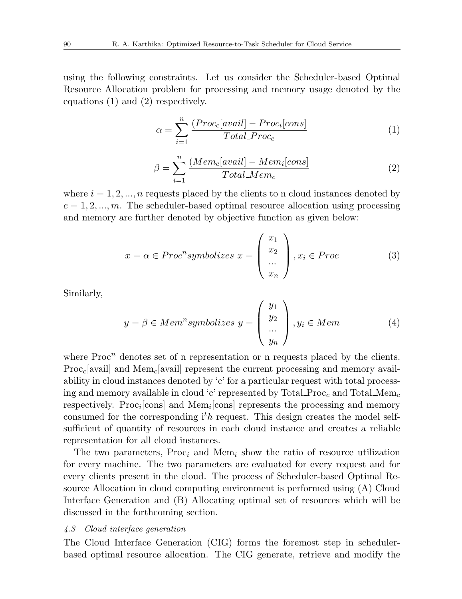using the following constraints. Let us consider the Scheduler-based Optimal Resource Allocation problem for processing and memory usage denoted by the equations (1) and (2) respectively.

$$
\alpha = \sum_{i=1}^{n} \frac{(Proc_c[avail] - Proc_i[cons]}{Total\_Proc_c} \tag{1}
$$

$$
\beta = \sum_{i=1}^{n} \frac{(Mem_c[avail] - Mem_i[cons]}{Total_Mem_c} \tag{2}
$$

where  $i = 1, 2, \ldots, n$  requests placed by the clients to n cloud instances denoted by  $c = 1, 2, \dots, m$ . The scheduler-based optimal resource allocation using processing and memory are further denoted by objective function as given below:

$$
x = \alpha \in Proc^n symbolizes \ x = \begin{pmatrix} x_1 \\ x_2 \\ \dots \\ x_n \end{pmatrix}, x_i \in Proc
$$
 (3)

Similarly,

$$
y = \beta \in Mem^n symbolizes \ y = \begin{pmatrix} y_1 \\ y_2 \\ \dots \\ y_n \end{pmatrix}, y_i \in Mem \tag{4}
$$

where  $\text{Proc}^n$  denotes set of n representation or n requests placed by the clients. Proc*c*[avail] and Mem*c*[avail] represent the current processing and memory availability in cloud instances denoted by 'c' for a particular request with total processing and memory available in cloud 'c' represented by Total Proc*<sup>c</sup>* and Total Mem*<sup>c</sup>* respectively. Proc<sub>*i*</sub>[cons] and Mem<sub>*i*</sub>[cons] represents the processing and memory consumed for the corresponding i*th* request. This design creates the model selfsufficient of quantity of resources in each cloud instance and creates a reliable representation for all cloud instances.

The two parameters, Proc*<sup>i</sup>* and Mem*<sup>i</sup>* show the ratio of resource utilization for every machine. The two parameters are evaluated for every request and for every clients present in the cloud. The process of Scheduler-based Optimal Resource Allocation in cloud computing environment is performed using (A) Cloud Interface Generation and (B) Allocating optimal set of resources which will be discussed in the forthcoming section.

#### *4.3 Cloud interface generation*

The Cloud Interface Generation (CIG) forms the foremost step in schedulerbased optimal resource allocation. The CIG generate, retrieve and modify the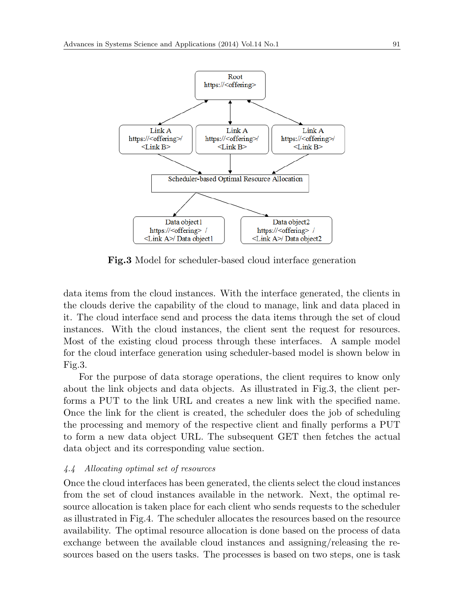

**Fig.3** Model for scheduler-based cloud interface generation

data items from the cloud instances. With the interface generated, the clients in the clouds derive the capability of the cloud to manage, link and data placed in it. The cloud interface send and process the data items through the set of cloud instances. With the cloud instances, the client sent the request for resources. Most of the existing cloud process through these interfaces. A sample model for the cloud interface generation using scheduler-based model is shown below in Fig.3.

For the purpose of data storage operations, the client requires to know only about the link objects and data objects. As illustrated in Fig.3, the client performs a PUT to the link URL and creates a new link with the specified name. Once the link for the client is created, the scheduler does the job of scheduling the processing and memory of the respective client and finally performs a PUT to form a new data object URL. The subsequent GET then fetches the actual data object and its corresponding value section.

# *4.4 Allocating optimal set of resources*

Once the cloud interfaces has been generated, the clients select the cloud instances from the set of cloud instances available in the network. Next, the optimal resource allocation is taken place for each client who sends requests to the scheduler as illustrated in Fig.4. The scheduler allocates the resources based on the resource availability. The optimal resource allocation is done based on the process of data exchange between the available cloud instances and assigning/releasing the resources based on the users tasks. The processes is based on two steps, one is task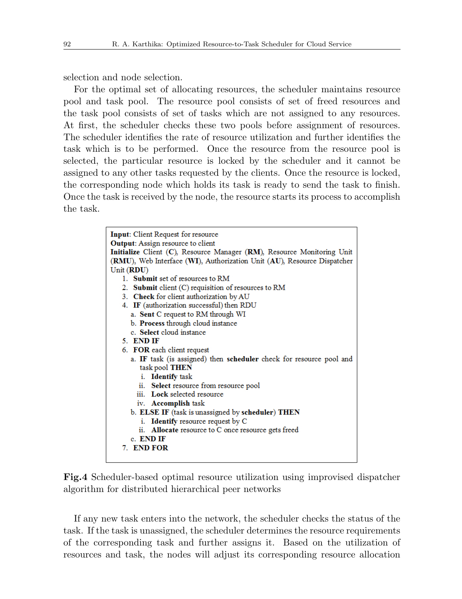selection and node selection.

For the optimal set of allocating resources, the scheduler maintains resource pool and task pool. The resource pool consists of set of freed resources and the task pool consists of set of tasks which are not assigned to any resources. At first, the scheduler checks these two pools before assignment of resources. The scheduler identifies the rate of resource utilization and further identifies the task which is to be performed. Once the resource from the resource pool is selected, the particular resource is locked by the scheduler and it cannot be assigned to any other tasks requested by the clients. Once the resource is locked, the corresponding node which holds its task is ready to send the task to finish. Once the task is received by the node, the resource starts its process to accomplish the task.

| <b>Input:</b> Client Request for resource                               |  |  |  |  |  |
|-------------------------------------------------------------------------|--|--|--|--|--|
| <b>Output:</b> Assign resource to client                                |  |  |  |  |  |
| Initialize Client (C), Resource Manager (RM), Resource Monitoring Unit  |  |  |  |  |  |
| (RMU), Web Interface (WI), Authorization Unit (AU), Resource Dispatcher |  |  |  |  |  |
| Unit $(RDU)$                                                            |  |  |  |  |  |
| 1. Submit set of resources to RM                                        |  |  |  |  |  |
| 2. Submit client (C) requisition of resources to RM                     |  |  |  |  |  |
| 3. Check for client authorization by AU                                 |  |  |  |  |  |
| 4. IF (authorization successful) then RDU                               |  |  |  |  |  |
| a. Sent C request to RM through WI                                      |  |  |  |  |  |
| b. Process through cloud instance                                       |  |  |  |  |  |
| c. Select cloud instance                                                |  |  |  |  |  |
| 5. END IF                                                               |  |  |  |  |  |
| 6. FOR each client request                                              |  |  |  |  |  |
| a. IF task (is assigned) then scheduler check for resource pool and     |  |  |  |  |  |
| task pool THEN                                                          |  |  |  |  |  |
| <i>i.</i> Identify task                                                 |  |  |  |  |  |
| ii. Select resource from resource pool                                  |  |  |  |  |  |
| iii. Lock selected resource                                             |  |  |  |  |  |
| iv. <b>Accomplish</b> task                                              |  |  |  |  |  |
| b. ELSE IF (task is unassigned by scheduler) THEN                       |  |  |  |  |  |
| i. <b>Identify</b> resource request by C                                |  |  |  |  |  |
| ii. Allocate resource to C once resource gets freed                     |  |  |  |  |  |
| c. END IF                                                               |  |  |  |  |  |
| 7. END FOR                                                              |  |  |  |  |  |
|                                                                         |  |  |  |  |  |

**Fig.4** Scheduler-based optimal resource utilization using improvised dispatcher algorithm for distributed hierarchical peer networks

If any new task enters into the network, the scheduler checks the status of the task. If the task is unassigned, the scheduler determines the resource requirements of the corresponding task and further assigns it. Based on the utilization of resources and task, the nodes will adjust its corresponding resource allocation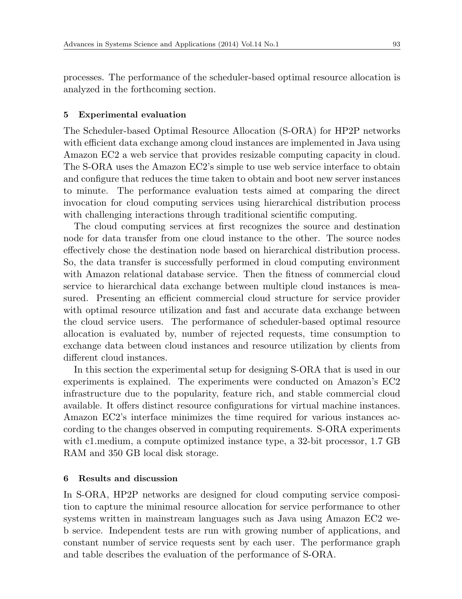processes. The performance of the scheduler-based optimal resource allocation is analyzed in the forthcoming section.

### **5 Experimental evaluation**

The Scheduler-based Optimal Resource Allocation (S-ORA) for HP2P networks with efficient data exchange among cloud instances are implemented in Java using Amazon EC2 a web service that provides resizable computing capacity in cloud. The S-ORA uses the Amazon EC2's simple to use web service interface to obtain and configure that reduces the time taken to obtain and boot new server instances to minute. The performance evaluation tests aimed at comparing the direct invocation for cloud computing services using hierarchical distribution process with challenging interactions through traditional scientific computing.

The cloud computing services at first recognizes the source and destination node for data transfer from one cloud instance to the other. The source nodes effectively chose the destination node based on hierarchical distribution process. So, the data transfer is successfully performed in cloud computing environment with Amazon relational database service. Then the fitness of commercial cloud service to hierarchical data exchange between multiple cloud instances is measured. Presenting an efficient commercial cloud structure for service provider with optimal resource utilization and fast and accurate data exchange between the cloud service users. The performance of scheduler-based optimal resource allocation is evaluated by, number of rejected requests, time consumption to exchange data between cloud instances and resource utilization by clients from different cloud instances.

In this section the experimental setup for designing S-ORA that is used in our experiments is explained. The experiments were conducted on Amazon's EC2 infrastructure due to the popularity, feature rich, and stable commercial cloud available. It offers distinct resource configurations for virtual machine instances. Amazon EC2's interface minimizes the time required for various instances according to the changes observed in computing requirements. S-ORA experiments with c1.medium, a compute optimized instance type, a 32-bit processor, 1.7 GB RAM and 350 GB local disk storage.

# **6 Results and discussion**

In S-ORA, HP2P networks are designed for cloud computing service composition to capture the minimal resource allocation for service performance to other systems written in mainstream languages such as Java using Amazon EC2 web service. Independent tests are run with growing number of applications, and constant number of service requests sent by each user. The performance graph and table describes the evaluation of the performance of S-ORA.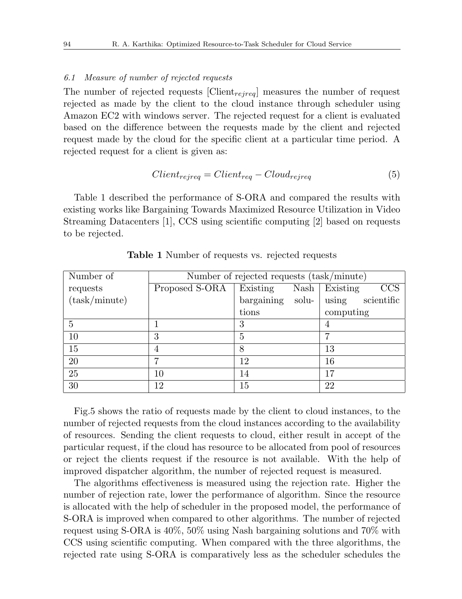#### *6.1 Measure of number of rejected requests*

The number of rejected requests [Client*rejreq*] measures the number of request rejected as made by the client to the cloud instance through scheduler using Amazon EC2 with windows server. The rejected request for a client is evaluated based on the difference between the requests made by the client and rejected request made by the cloud for the specific client at a particular time period. A rejected request for a client is given as:

$$
Client_{rejreq} = Client_{req} - Cloud_{rejreq} \tag{5}
$$

Table 1 described the performance of S-ORA and compared the results with existing works like Bargaining Towards Maximized Resource Utilization in Video Streaming Datacenters [1], CCS using scientific computing [2] based on requests to be rejected.

| Number of     | Number of rejected requests (task/minute) |                     |                     |  |
|---------------|-------------------------------------------|---------------------|---------------------|--|
| requests      | Proposed S-ORA                            | Existing<br>Nash    | CCS<br>Existing     |  |
| (task/minute) |                                           | bargaining<br>solu- | using<br>scientific |  |
|               |                                           | tions               | computing           |  |
| 5             |                                           | 3                   |                     |  |
| 10            | 3                                         | 5                   |                     |  |
| 15            | 4                                         | 8                   | 13                  |  |
| 20            | ⇁                                         | 12                  | 16                  |  |
| 25            | 10                                        | 14                  | 17                  |  |
| 30            | 12                                        | 15                  | 22                  |  |

**Table 1** Number of requests vs. rejected requests

Fig.5 shows the ratio of requests made by the client to cloud instances, to the number of rejected requests from the cloud instances according to the availability of resources. Sending the client requests to cloud, either result in accept of the particular request, if the cloud has resource to be allocated from pool of resources or reject the clients request if the resource is not available. With the help of improved dispatcher algorithm, the number of rejected request is measured.

The algorithms effectiveness is measured using the rejection rate. Higher the number of rejection rate, lower the performance of algorithm. Since the resource is allocated with the help of scheduler in the proposed model, the performance of S-ORA is improved when compared to other algorithms. The number of rejected request using S-ORA is 40%, 50% using Nash bargaining solutions and 70% with CCS using scientific computing. When compared with the three algorithms, the rejected rate using S-ORA is comparatively less as the scheduler schedules the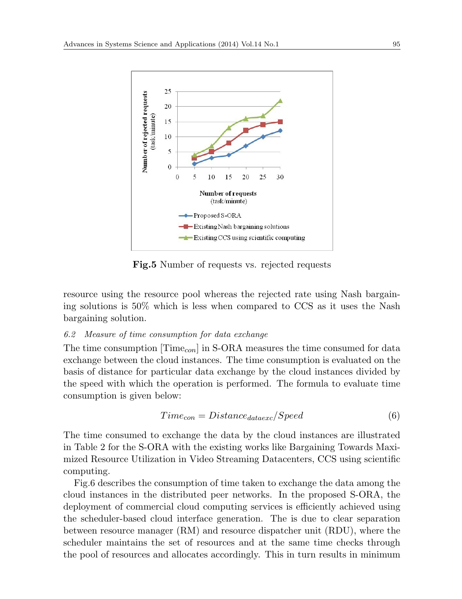

**Fig.5** Number of requests vs. rejected requests

resource using the resource pool whereas the rejected rate using Nash bargaining solutions is 50% which is less when compared to CCS as it uses the Nash bargaining solution.

# *6.2 Measure of time consumption for data exchange*

The time consumption [Time*con*] in S-ORA measures the time consumed for data exchange between the cloud instances. The time consumption is evaluated on the basis of distance for particular data exchange by the cloud instances divided by the speed with which the operation is performed. The formula to evaluate time consumption is given below:

$$
Time_{con} = Distance_{dataexc}/Speed \tag{6}
$$

The time consumed to exchange the data by the cloud instances are illustrated in Table 2 for the S-ORA with the existing works like Bargaining Towards Maximized Resource Utilization in Video Streaming Datacenters, CCS using scientific computing.

Fig.6 describes the consumption of time taken to exchange the data among the cloud instances in the distributed peer networks. In the proposed S-ORA, the deployment of commercial cloud computing services is efficiently achieved using the scheduler-based cloud interface generation. The is due to clear separation between resource manager (RM) and resource dispatcher unit (RDU), where the scheduler maintains the set of resources and at the same time checks through the pool of resources and allocates accordingly. This in turn results in minimum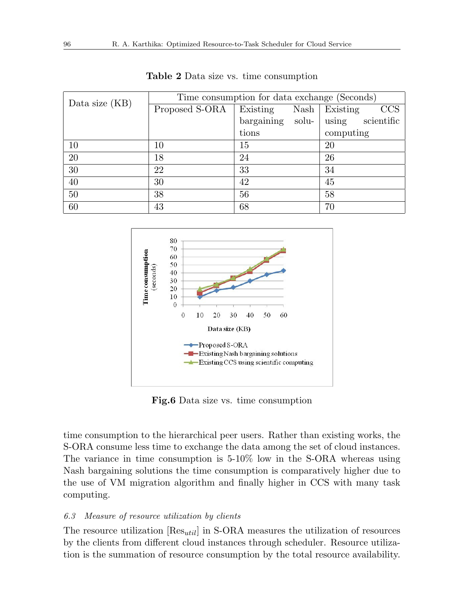| Data size $(KB)$ | Time consumption for data exchange (Seconds) |            |       |                             |  |
|------------------|----------------------------------------------|------------|-------|-----------------------------|--|
|                  | Proposed S-ORA                               | Existing   |       | $Nash \mid Existing$<br>CCS |  |
|                  |                                              | bargaining | solu- | scientific<br>using         |  |
|                  |                                              | tions      |       | computing                   |  |
| 10               | 10                                           | 15         |       | 20                          |  |
| 20               | 18                                           | 24         |       | 26                          |  |
| 30               | 22                                           | 33         |       | 34                          |  |
| 40               | 30                                           | 42         |       | 45                          |  |
| 50               | 38                                           | 56         |       | 58                          |  |
| 60               | 43                                           | 68         |       | 70                          |  |

**Table 2** Data size vs. time consumption



**Fig.6** Data size vs. time consumption

time consumption to the hierarchical peer users. Rather than existing works, the S-ORA consume less time to exchange the data among the set of cloud instances. The variance in time consumption is 5-10% low in the S-ORA whereas using Nash bargaining solutions the time consumption is comparatively higher due to the use of VM migration algorithm and finally higher in CCS with many task computing.

# *6.3 Measure of resource utilization by clients*

The resource utilization [Res*util*] in S-ORA measures the utilization of resources by the clients from different cloud instances through scheduler. Resource utilization is the summation of resource consumption by the total resource availability.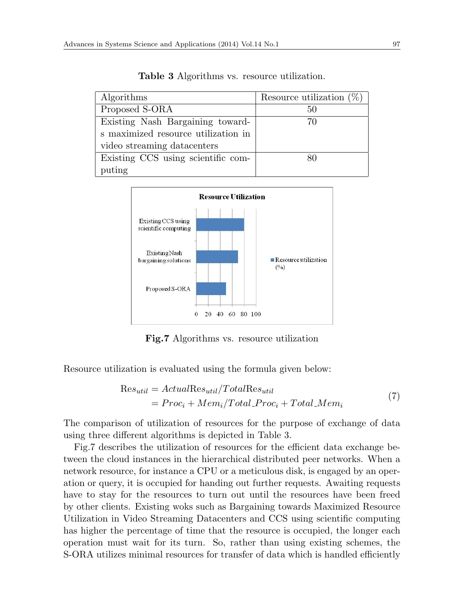| Algorithms                          | Resource utilization $(\%)$ |
|-------------------------------------|-----------------------------|
| Proposed S-ORA                      | 50                          |
| Existing Nash Bargaining toward-    | 70                          |
| s maximized resource utilization in |                             |
| video streaming datacenters         |                             |
| Existing CCS using scientific com-  |                             |
| puting                              |                             |

**Table 3** Algorithms vs. resource utilization.



**Fig.7** Algorithms vs. resource utilization

Resource utilization is evaluated using the formula given below:

$$
Res_{util} = ActualRes_{util}/TotalRes_{util}
$$
  
=  $Proc_i + Mem_i/Total\_Proc_i + Total\_Mem_i$  (7)

The comparison of utilization of resources for the purpose of exchange of data using three different algorithms is depicted in Table 3.

Fig.7 describes the utilization of resources for the efficient data exchange between the cloud instances in the hierarchical distributed peer networks. When a network resource, for instance a CPU or a meticulous disk, is engaged by an operation or query, it is occupied for handing out further requests. Awaiting requests have to stay for the resources to turn out until the resources have been freed by other clients. Existing woks such as Bargaining towards Maximized Resource Utilization in Video Streaming Datacenters and CCS using scientific computing has higher the percentage of time that the resource is occupied, the longer each operation must wait for its turn. So, rather than using existing schemes, the S-ORA utilizes minimal resources for transfer of data which is handled efficiently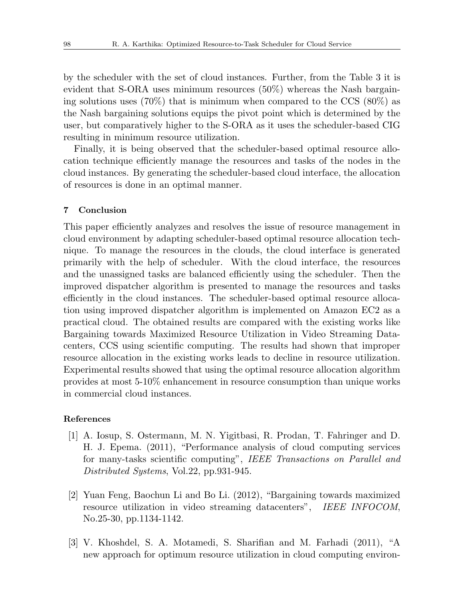by the scheduler with the set of cloud instances. Further, from the Table 3 it is evident that S-ORA uses minimum resources (50%) whereas the Nash bargaining solutions uses (70%) that is minimum when compared to the CCS (80%) as the Nash bargaining solutions equips the pivot point which is determined by the user, but comparatively higher to the S-ORA as it uses the scheduler-based CIG resulting in minimum resource utilization.

Finally, it is being observed that the scheduler-based optimal resource allocation technique efficiently manage the resources and tasks of the nodes in the cloud instances. By generating the scheduler-based cloud interface, the allocation of resources is done in an optimal manner.

#### **7 Conclusion**

This paper efficiently analyzes and resolves the issue of resource management in cloud environment by adapting scheduler-based optimal resource allocation technique. To manage the resources in the clouds, the cloud interface is generated primarily with the help of scheduler. With the cloud interface, the resources and the unassigned tasks are balanced efficiently using the scheduler. Then the improved dispatcher algorithm is presented to manage the resources and tasks efficiently in the cloud instances. The scheduler-based optimal resource allocation using improved dispatcher algorithm is implemented on Amazon EC2 as a practical cloud. The obtained results are compared with the existing works like Bargaining towards Maximized Resource Utilization in Video Streaming Datacenters, CCS using scientific computing. The results had shown that improper resource allocation in the existing works leads to decline in resource utilization. Experimental results showed that using the optimal resource allocation algorithm provides at most 5-10% enhancement in resource consumption than unique works in commercial cloud instances.

#### **References**

- [1] A. Iosup, S. Ostermann, M. N. Yigitbasi, R. Prodan, T. Fahringer and D. H. J. Epema. (2011), "Performance analysis of cloud computing services for many-tasks scientific computing", *IEEE Transactions on Parallel and Distributed Systems*, Vol.22, pp.931-945.
- [2] Yuan Feng, Baochun Li and Bo Li. (2012), "Bargaining towards maximized resource utilization in video streaming datacenters", *IEEE INFOCOM*, No.25-30, pp.1134-1142.
- [3] V. Khoshdel, S. A. Motamedi, S. Sharifian and M. Farhadi (2011), "A new approach for optimum resource utilization in cloud computing environ-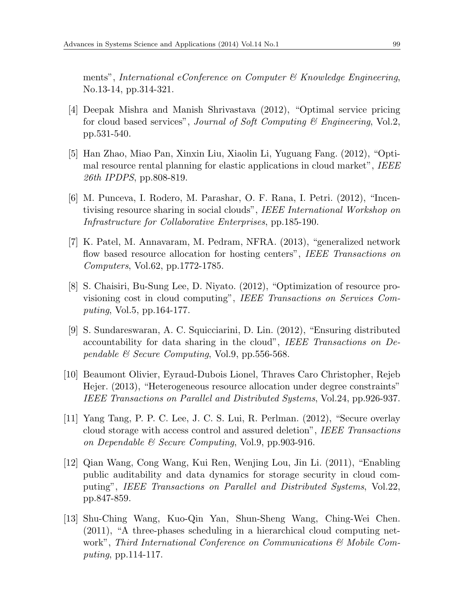ments", *International eConference on Computer & Knowledge Engineering*, No.13-14, pp.314-321.

- [4] Deepak Mishra and Manish Shrivastava (2012), "Optimal service pricing for cloud based services", *Journal of Soft Computing & Engineering*, Vol.2, pp.531-540.
- [5] Han Zhao, Miao Pan, Xinxin Liu, Xiaolin Li, Yuguang Fang. (2012), "Optimal resource rental planning for elastic applications in cloud market", *IEEE 26th IPDPS*, pp.808-819.
- [6] M. Punceva, I. Rodero, M. Parashar, O. F. Rana, I. Petri. (2012), "Incentivising resource sharing in social clouds", *IEEE International Workshop on Infrastructure for Collaborative Enterprises*, pp.185-190.
- [7] K. Patel, M. Annavaram, M. Pedram, NFRA. (2013), "generalized network flow based resource allocation for hosting centers", *IEEE Transactions on Computers*, Vol.62, pp.1772-1785.
- [8] S. Chaisiri, Bu-Sung Lee, D. Niyato. (2012), "Optimization of resource provisioning cost in cloud computing", *IEEE Transactions on Services Computing*, Vol.5, pp.164-177.
- [9] S. Sundareswaran, A. C. Squicciarini, D. Lin. (2012), "Ensuring distributed accountability for data sharing in the cloud", *IEEE Transactions on Dependable & Secure Computing*, Vol.9, pp.556-568.
- [10] Beaumont Olivier, Eyraud-Dubois Lionel, Thraves Caro Christopher, Rejeb Hejer. (2013), "Heterogeneous resource allocation under degree constraints" *IEEE Transactions on Parallel and Distributed Systems*, Vol.24, pp.926-937.
- [11] Yang Tang, P. P. C. Lee, J. C. S. Lui, R. Perlman. (2012), "Secure overlay cloud storage with access control and assured deletion", *IEEE Transactions on Dependable & Secure Computing*, Vol.9, pp.903-916.
- [12] Qian Wang, Cong Wang, Kui Ren, Wenjing Lou, Jin Li. (2011), "Enabling public auditability and data dynamics for storage security in cloud computing", *IEEE Transactions on Parallel and Distributed Systems*, Vol.22, pp.847-859.
- [13] Shu-Ching Wang, Kuo-Qin Yan, Shun-Sheng Wang, Ching-Wei Chen. (2011), "A three-phases scheduling in a hierarchical cloud computing network", *Third International Conference on Communications & Mobile Computing*, pp.114-117.